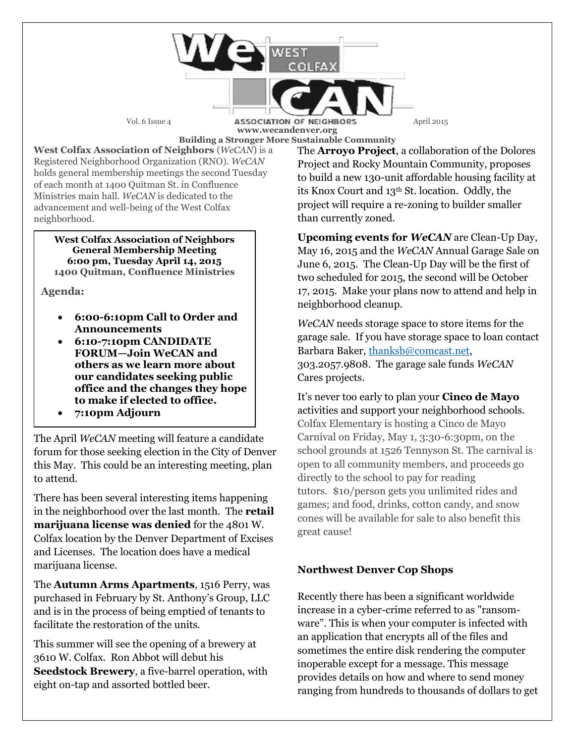Vol. 6 Issue 4 **ASSOCIATION OF NEIGHBORS** April 2015 **www.wecandenver.org Building a Stronger More Sustainable Community**

**West Colfax Association of Neighbors** (*WeCAN*) is a Registered Neighborhood Organization (RNO). *WeCAN*  holds general membership meetings the second Tuesday of each month at 1400 Quitman St. in Confluence Ministries main hall. *WeCAN* is dedicated to the advancement and well-being of the West Colfax neighborhood.

**West Colfax Association of Neighbors General Membership Meeting 6:00 pm, Tuesday April 14, 2015 1400 Quitman, Confluence Ministries** 

**Agenda:**

- **6:00-6:10pm Call to Order and Announcements**
- **6:10-7:10pm CANDIDATE FORUM—Join WeCAN and others as we learn more about our candidates seeking public office and the changes they hope to make if elected to office.**
- **7:10pm Adjourn**

The April *WeCAN* meeting will feature a candidate forum for those seeking election in the City of Denver this May. This could be an interesting meeting, plan to attend.

There has been several interesting items happening in the neighborhood over the last month. The **retail marijuana license was denied** for the 4801 W. Colfax location by the Denver Department of Excises and Licenses. The location does have a medical marijuana license.

The **Autumn Arms Apartments**, 1516 Perry, was purchased in February by St. Anthony's Group, LLC and is in the process of being emptied of tenants to facilitate the restoration of the units.

This summer will see the opening of a brewery at 3610 W. Colfax. Ron Abbot will debut his **Seedstock Brewery**, a five-barrel operation, with eight on-tap and assorted bottled beer.

The **Arroyo Project**, a collaboration of the Dolores Project and Rocky Mountain Community, proposes to build a new 130-unit affordable housing facility at its Knox Court and 13th St. location. Oddly, the project will require a re-zoning to builder smaller than currently zoned.

**Upcoming events for** *WeCAN* are Clean-Up Day, May 16, 2015 and the *WeCAN* Annual Garage Sale on June 6, 2015. The Clean-Up Day will be the first of two scheduled for 2015, the second will be October 17, 2015. Make your plans now to attend and help in neighborhood cleanup.

*WeCAN* needs storage space to store items for the garage sale. If you have storage space to loan contact Barbara Baker, [thanksb@comcast.net,](mailto:thanksb@comcast.net) 303.2057.9808. The garage sale funds *WeCAN*  Cares projects.

It's never too early to plan your **Cinco de Mayo** activities and support your neighborhood schools. Colfax Elementary is hosting a Cinco de Mayo Carnival on Friday, May 1, 3:30-6:30pm, on the school grounds at 1526 Tennyson St. The carnival is open to all community members, and proceeds go directly to the school to pay for reading tutors. \$10/person gets you unlimited rides and games; and food, drinks, cotton candy, and snow cones will be available for sale to also benefit this great cause!

### **Northwest Denver Cop Shops**

Recently there has been a significant worldwide increase in a cyber-crime referred to as "ransomware". This is when your computer is infected with an application that encrypts all of the files and sometimes the entire disk rendering the computer inoperable except for a message. This message provides details on how and where to send money ranging from hundreds to thousands of dollars to get